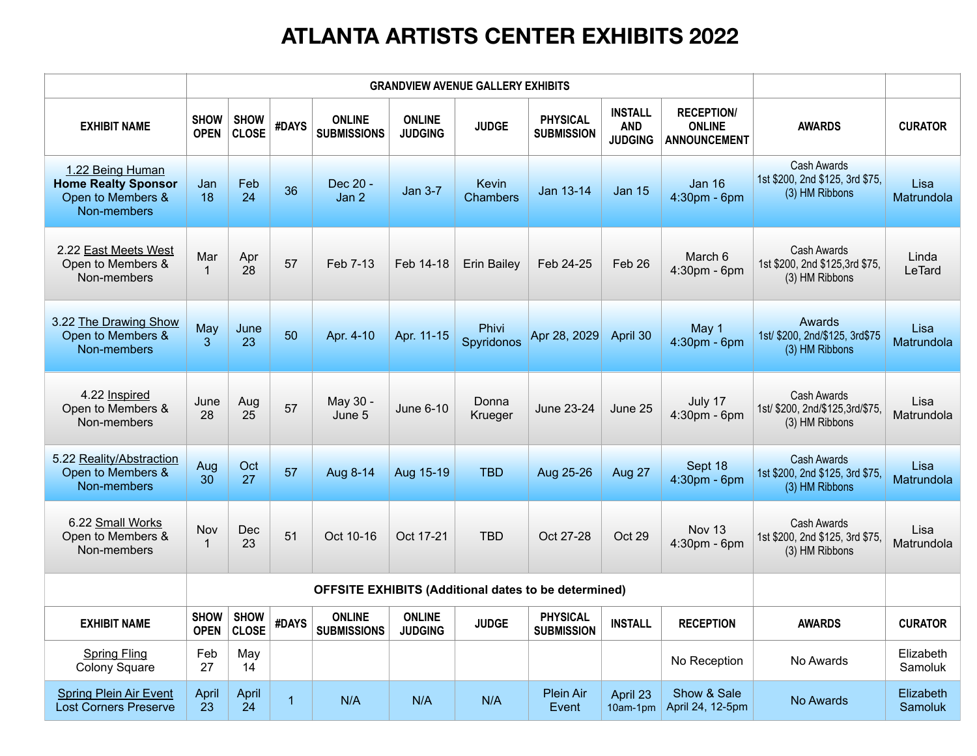|                                                                                    | <b>GRANDVIEW AVENUE GALLERY EXHIBITS</b>                    |                             |                |                                     |                                 |                          |                                      |                                                |                                                           |                                                                         |                             |
|------------------------------------------------------------------------------------|-------------------------------------------------------------|-----------------------------|----------------|-------------------------------------|---------------------------------|--------------------------|--------------------------------------|------------------------------------------------|-----------------------------------------------------------|-------------------------------------------------------------------------|-----------------------------|
| <b>EXHIBIT NAME</b>                                                                | <b>SHOW</b><br><b>OPEN</b>                                  | <b>SHOW</b><br><b>CLOSE</b> | <b>#DAYS</b>   | <b>ONLINE</b><br><b>SUBMISSIONS</b> | <b>ONLINE</b><br><b>JUDGING</b> | <b>JUDGE</b>             | <b>PHYSICAL</b><br><b>SUBMISSION</b> | <b>INSTALL</b><br><b>AND</b><br><b>JUDGING</b> | <b>RECEPTION/</b><br><b>ONLINE</b><br><b>ANNOUNCEMENT</b> | <b>AWARDS</b>                                                           | <b>CURATOR</b>              |
| 1.22 Being Human<br><b>Home Realty Sponsor</b><br>Open to Members &<br>Non-members | Jan<br>18                                                   | Feb<br>24                   | 36             | Dec 20 -<br>Jan 2                   | <b>Jan 3-7</b>                  | Kevin<br><b>Chambers</b> | Jan 13-14                            | <b>Jan 15</b>                                  | <b>Jan 16</b><br>$4:30$ pm - 6pm                          | <b>Cash Awards</b><br>1st \$200, 2nd \$125, 3rd \$75,<br>(3) HM Ribbons | Lisa<br>Matrundola          |
| 2.22 East Meets West<br>Open to Members &<br>Non-members                           | Mar                                                         | Apr<br>28                   | 57             | Feb 7-13                            | Feb 14-18                       | <b>Erin Bailey</b>       | Feb 24-25                            | Feb 26                                         | March 6<br>$4:30pm - 6pm$                                 | <b>Cash Awards</b><br>1st \$200, 2nd \$125,3rd \$75,<br>(3) HM Ribbons  | Linda<br><b>LeTard</b>      |
| 3.22 The Drawing Show<br>Open to Members &<br>Non-members                          | May<br>$\overline{3}$                                       | June<br>23                  | 50             | Apr. 4-10                           | Apr. 11-15                      | Phivi<br>Spyridonos      | Apr 28, 2029                         | April 30                                       | May 1<br>$4:30$ pm - 6pm                                  | <b>Awards</b><br>1st/ \$200, 2nd/\$125, 3rd\$75<br>(3) HM Ribbons       | Lisa<br>Matrundola          |
| 4.22 Inspired<br>Open to Members &<br>Non-members                                  | June<br>28                                                  | Aug<br>25                   | 57             | May 30 -<br>June 5                  | <b>June 6-10</b>                | Donna<br><b>Krueger</b>  | <b>June 23-24</b>                    | June 25                                        | July 17<br>$4:30$ pm - 6pm                                | <b>Cash Awards</b><br>1st/ \$200, 2nd/\$125,3rd/\$75,<br>(3) HM Ribbons | Lisa<br>Matrundola          |
| 5.22 Reality/Abstraction<br>Open to Members &<br>Non-members                       | Aug<br>30                                                   | Oct<br>27                   | 57             | Aug 8-14                            | Aug 15-19                       | <b>TBD</b>               | Aug 25-26                            | Aug 27                                         | Sept 18<br>$4:30pm - 6pm$                                 | <b>Cash Awards</b><br>1st \$200, 2nd \$125, 3rd \$75,<br>(3) HM Ribbons | Lisa<br>Matrundola          |
| 6.22 Small Works<br>Open to Members &<br>Non-members                               | Nov                                                         | Dec<br>23                   | 51             | Oct 10-16                           | Oct 17-21                       | <b>TBD</b>               | Oct 27-28                            | Oct 29                                         | <b>Nov 13</b><br>$4:30pm - 6pm$                           | <b>Cash Awards</b><br>1st \$200, 2nd \$125, 3rd \$75,<br>(3) HM Ribbons | Lisa<br>Matrundola          |
|                                                                                    | <b>OFFSITE EXHIBITS (Additional dates to be determined)</b> |                             |                |                                     |                                 |                          |                                      |                                                |                                                           |                                                                         |                             |
| <b>EXHIBIT NAME</b>                                                                | <b>SHOW</b><br><b>OPEN</b>                                  | <b>SHOW</b><br><b>CLOSE</b> | <b>#DAYS</b>   | <b>ONLINE</b><br><b>SUBMISSIONS</b> | <b>ONLINE</b><br><b>JUDGING</b> | <b>JUDGE</b>             | <b>PHYSICAL</b><br><b>SUBMISSION</b> | <b>INSTALL</b>                                 | <b>RECEPTION</b>                                          | <b>AWARDS</b>                                                           | <b>CURATOR</b>              |
| <b>Spring Fling</b><br><b>Colony Square</b>                                        | Feb<br>27                                                   | May<br>14                   |                |                                     |                                 |                          |                                      |                                                | No Reception                                              | No Awards                                                               | Elizabeth<br>Samoluk        |
| <b>Spring Plein Air Event</b><br><b>Lost Corners Preserve</b>                      | April<br>23                                                 | April<br>24                 | $\overline{1}$ | N/A                                 | N/A                             | N/A                      | <b>Plein Air</b><br>Event            | April 23<br>10am-1pm                           | Show & Sale<br>April 24, 12-5pm                           | No Awards                                                               | Elizabeth<br><b>Samoluk</b> |

## **ATLANTA ARTISTS CENTER EXHIBITS 2022**